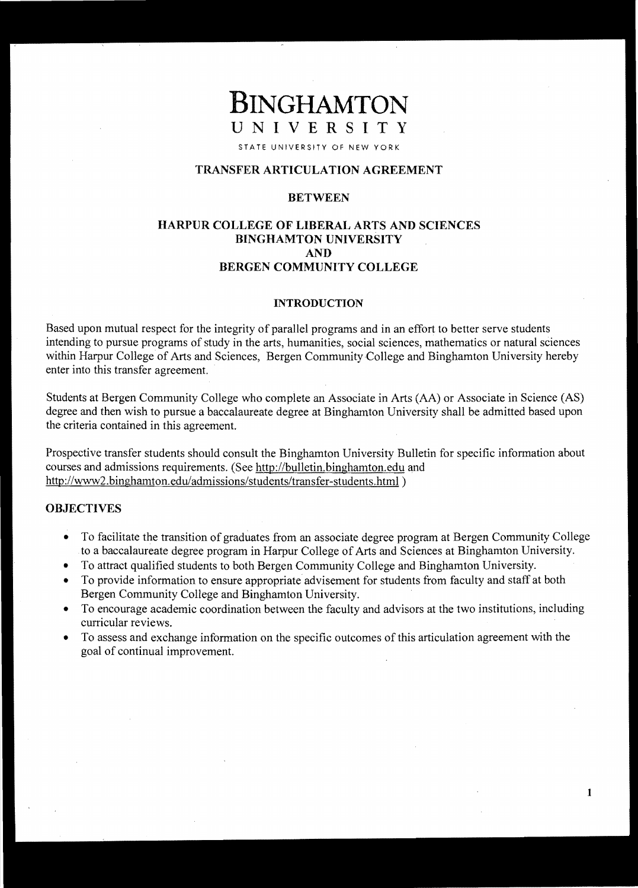# **BINGHAMTON UNIVERSITY**

STATE UNIVERSITY OF NEW YORK

# **TRANSFER ARTICULATION AGREEMENT**

# **BETWEEN**

# **HARPUR COLLEGE OF LIBERAL ARTS AND SCIENCES BINGHAMTON UNIVERSITY AND BERGEN COMMUNITY COLLEGE**

#### **INTRODUCTION**

Based upon mutual respect for the integrity of parallel programs and in an effort to better serve students intending to pursue programs of study in the arts, humanities, social sciences, mathematics or natural sciences within Harpur College of Arts and Sciences, Bergen Community College and Binghamton University hereby enter into this transfer agreement. .

Students at Bergen Community College who complete an Associate in Arts (AA) or Associate in Science (AS) degree and then wish to pursue a baccalaureate degree at Binghamton University shall be admitted based upon the criteria contained in this agreement.

Prospective transfer students should consult the Binghamton University Bulletin for specific information about courses and admissions requirements. (See http://bulletin.binghamton.edu and http://www2.binghamton.edu/admissions/students/transfer-students.html )

## **OBJECTIVES**

- To facilitate the transition of graduates from an associate degree program at Bergen Community College to a baccalaureate degree program in Harpur College of Arts and Sciences at Binghamton University.
- To attract qualified students to both Bergen Community College and Binghamton University.
- To provide information to ensure appropriate advisement for students from faculty and staff at both Bergen Community College and Binghamton University.
- To encourage academic coordination between the faculty and advisors at the two institutions, including curricular reviews.
- To assess and exchange information on the specific outcomes of this articulation agreement with the goal of continual improvement.

1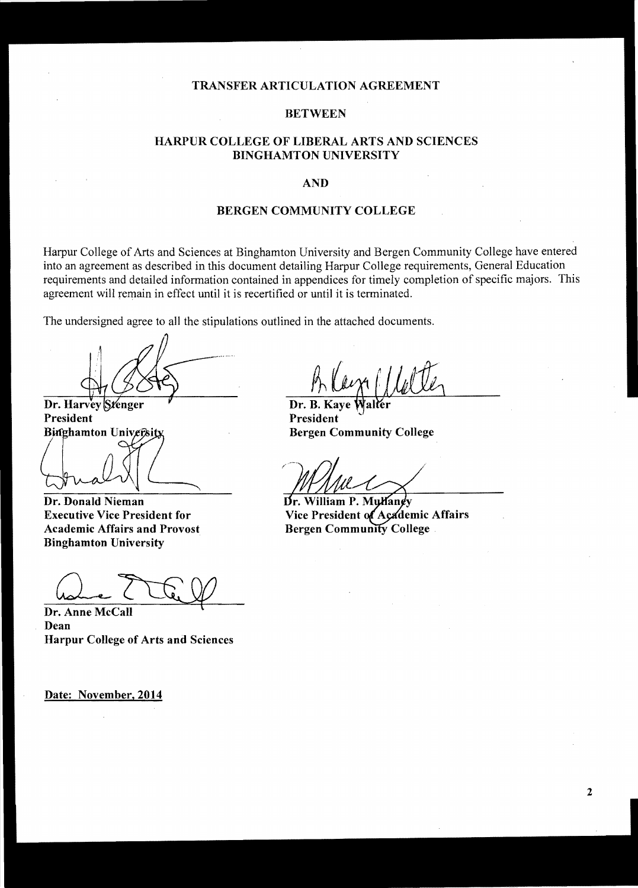#### **TRANSFER ARTICULATION AGREEMENT**

#### **BETWEEN**

# **HARPUR COLLEGE OF LIBERAL ARTS AND SCIENCES BINGHAMTON UNIVERSITY**

#### **AND**

#### **BERGEN COMMUNITY COLLEGE**

Harpur College of Arts and Sciences at Binghamton University and Bergen Community College have entered into an agreement as described in this document detailing Harpur College requirements, General Education requirements and detailed information contained in appendices for timely completion of specific majors. This agreement will remain in effect until it is recertified or until it is terminated.

The undersigned agree to all the stipulations outlined in the attached documents.

Dr. Harvey Stenger President **Binghamton University** 

**Dr. Donald Nieman** 

**Executive Vice President for Academic Affairs and Provost Binghamton University** 

Dr. Anne McCall **Dean Harpur College of Arts and Sciences** 

**Date:** November, 2014

Dr. B. President **Bergen Community College** 

Dr. William P. Mulaney Vice President of Academic Affairs **Bergen Community College**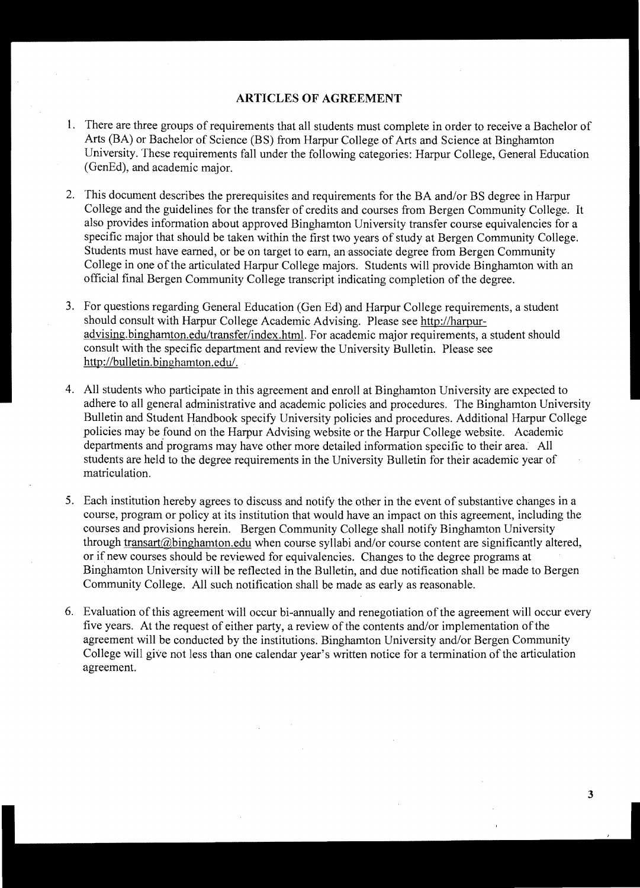## **ARTICLES OF AGREEMENT**

- 1. There are three groups of requirements that all students must complete in order to receive a Bachelor of Arts (BA) or Bachelor of Science (BS) from Harpur College of Arts and Science at Binghamton University. These requirements fall under the following categories: Harpur College, General Education (GenEd), and academic major.
- 2. This document describes the prerequisites and requirements for the BA and/or BS degree in Harpur College and the guidelines for the transfer of credits and courses from Bergen Community College. It also provides information about approved Binghamton University transfer course equivalencies for a specific major that should be taken within the first two years of study at Bergen Community College. Students must have earned, or be on target to earn, an associate degree from Bergen Community College in one of the articulated Harpur College majors. Students will provide Binghamton with an official final Bergen Community College transcript indicating completion of the degree.
- 3. For questions regarding General Education (Gen Ed) and Harpur College requirements, a student should consult with Harpur College Academic Advising. Please see http://harpuradvising.binghamton.edultransfer/index.html. For academic major requirements, a student should consult with the specific department and review the University Bulletin. Please see http://bulletin.binghamton.edu/.
- 4. All students who participate in this agreement and enroll at Binghamton University are expected to adhere to all general administrative and academic policies and procedures. The Binghamton University Bulletin and Student Handbook specify University policies and procedures. Additional Harpur College policies may be found on the Harpur Advising website or the Harpur College website. Academic departments and programs may have other more detailed information specific to their area. All students are held to the degree requirements in the University Bulletin for their academic year of matriculation.
- 5. Each institution hereby agrees to discuss and notify the other in the event of substantive changes in a course, program or policy at its institution that would have an impact on this agreement, including the courses and provisions herein. Bergen Community College shall notify Binghamton University through transart(@binghamton.edu when course syllabi and/or course content are significantly altered, or if new courses should be reviewed for equivalencies. Changes to the degree programs at Binghamton University will be reflected in the Bulletin, and due notification shall be made to Bergen Community College. All such notification shall be made as early as reasonable.
- 6. Evaluation of this agreement will occur bi-annually and renegotiation of the agreement will occur every five years. At the request of either party, a review of the contents and/or implementation of the agreement will be conducted by the institutions. Binghamton University and/or Bergen Community College will give not less than one calendar year's written notice for a termination of the articulation agreement.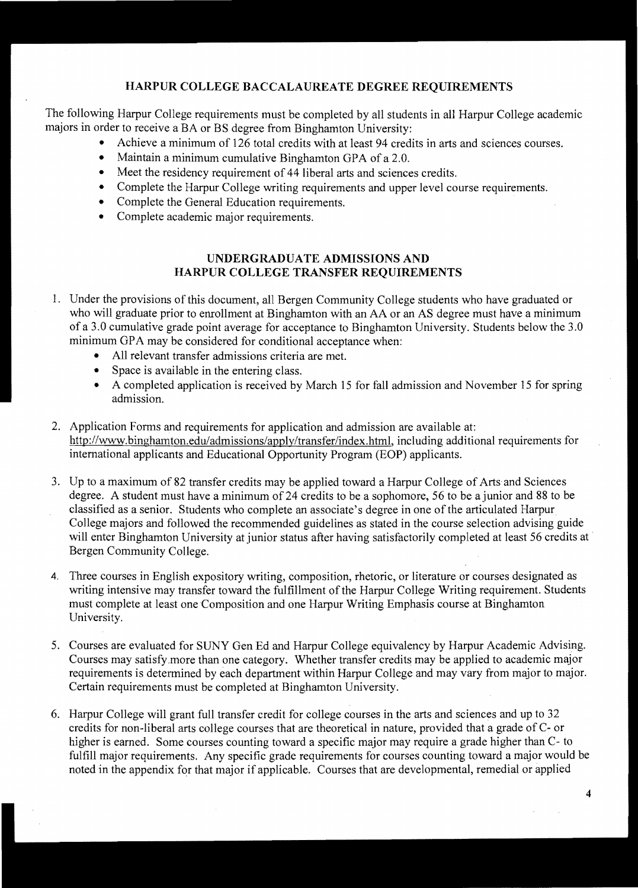# **HARPUR COLLEGE BACCALAUREATE DEGREE REQUIREMENTS**

The following Harpur College requirements must be completed by all students in all Harpur College academic majors in order to receive a BA or BS degree from Binghamton University:

- Achieve a minimum of 126 total credits with at least 94 credits in arts and sciences courses.
	- Maintain a minimum cumulative Binghamton GPA of a 2.0.
- Meet the residency requirement of 44 liberal arts and sciences credits.
- Complete the Harpur College writing requirements and upper level course requirements.
- Complete the General Education requirements.
- Complete academic major requirements.

# **UNDERGRADUATE ADMISSIONS AND HARPUR COLLEGE TRANSFER REQUIREMENTS**

- 1. Under the provisions of this document, all Bergen Community College students who have graduated or who will graduate prior to enrollment at Binghamton with an AA or an AS degree must have a minimum of a 3.0 cumulative grade point average for acceptance to Binghamton University. Students below the 3.0 minimum GPA may be considered for conditional acceptance when:
	- All relevant transfer admissions criteria are met.
	- Space is available in the entering class.
	- A completed application is received by March 15 for fall admission and November 15 for spring admission.
- 2. Application Forms and requirements for application and admission are available at: http://www.binghamton.edu/admissions/apply/transfer/index.html, including additional requirements for international applicants and Educational Opportunity Program (EOP) applicants.
- 3. Up to a maximum of 82 transfer credits may be applied toward a Harpur College of Arts and Sciences degree. A student must have a minimum of 24 credits to be a sophomore, 56 to be a junior and 88 to be classified as a senior. Students who complete an associate's degree in one of the articulated Harpur College majors and followed the recommended guidelines as stated in the course selection advising guide will enter Binghamton University at junior status after having satisfactorily completed at least 56 credits at . Bergen Community College.
- 4. Three courses in English expository writing, composition, rhetoric, or literature or courses designated as writing intensive may transfer toward the fulfillment of the Harpur College Writing requirement. Students must complete at least one Composition and one Harpur Writing Emphasis course at Binghamton University.
- 5. Courses are evaluated for SUNY Gen Ed and Harpur College equivalency by Harpur Academic Advising. Courses may satisfy more than one category. Whether transfer credits may be applied to academic major requirements is determined by each department within Harpur College and may vary from major to major. Certain requirements must be completed at Binghamton University.
- 6. Harpur College will grant full transfer credit for college courses in the arts and sciences and up to 32 credits for non-liberal arts college courses that are theoretical in nature, provided that a grade of C- or higher is earned. Some courses counting toward a specific major may require a grade higher than C- to fulfill major requirements. Any specific grade requirements for courses counting toward a major would be noted in the appendix for that major if applicable. Courses that are developmental, remedial or applied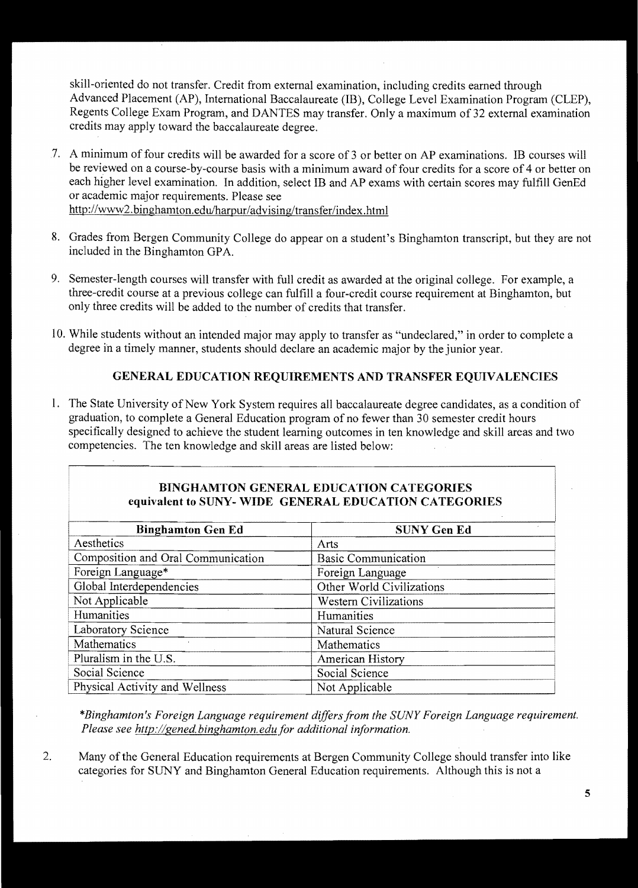skill-oriented do not transfer. Credit from external examination, including credits earned through Advanced Placement (AP), International Baccalaureate (IB), College Level Examination Program (CLEP), Regents College Exam Program, and DANTES may transfer. Only a maximum of 32 external examination credits may apply toward the baccalaureate degree.

- 7. A minimum of four credits will be awarded for a score of 3 or better on AP examinations. IB courses will be reviewed on a course-by-course basis with a minimum award of four credits for a score of 4 or better on each higher level examination. In addition, select IB and AP exams with certain scores may fulfill GenEd or academic major requirements. Please see *http://www2.*binghamton.edulharpur/advising/transfer/index .html
- 8. Grades from Bergen Community College do appear on a student's Binghamton transcript, but they are not included in the Binghamton GPA.
- 9. Semester-length courses will transfer with full credit as awarded at the original college. For example, a three-credit course at a previous college can fulfill a four-credit course requirement at Binghamton, but only three credits will be added to the number of credits that transfer.
- 10. While students without an intended major may apply to transfer as "undeclared," in order to complete a degree in a timely manner, students should declare an academic major by the junior year.

# **GENERAL EDUCATION REQUIREMENTS AND TRANSFER EQUIVALENCIES**

1. The State University of New York System requires all baccalaureate degree candidates, as a condition of graduation, to complete a General Education program of no fewer than 30 semester credit hours specifically designed to achieve the student learning outcomes in ten knowledge and skill areas and two competencies. The ten knowledge and skill areas are listed below:

# **BINGHAMTON GENERAL EDUCATION CATEGORIES equivalent to SUNY- WIDE GENERAL EDUCATION CATEGORIES**

| <b>Binghamton Gen Ed</b>           | <b>SUNY Gen Ed</b>           |
|------------------------------------|------------------------------|
| Aesthetics                         | Arts                         |
| Composition and Oral Communication | <b>Basic Communication</b>   |
| Foreign Language*                  | Foreign Language             |
| Global Interdependencies           | Other World Civilizations    |
| Not Applicable                     | <b>Western Civilizations</b> |
| Humanities                         | Humanities                   |
| Laboratory Science                 | Natural Science              |
| Mathematics                        | Mathematics                  |
| Pluralism in the U.S.              | American History             |
| Social Science                     | Social Science               |
| Physical Activity and Wellness     | Not Applicable               |

*\*Binghamton's Foreign Language requirement differsfrom the SUNY Foreign Language requirement. Please see http://gened.binghamton.edu for additional information.* 

2. Many of the General Education requirements at Bergen Community College should transfer into like categories for SUNY and Binghamton General Education requirements. Although this is not a